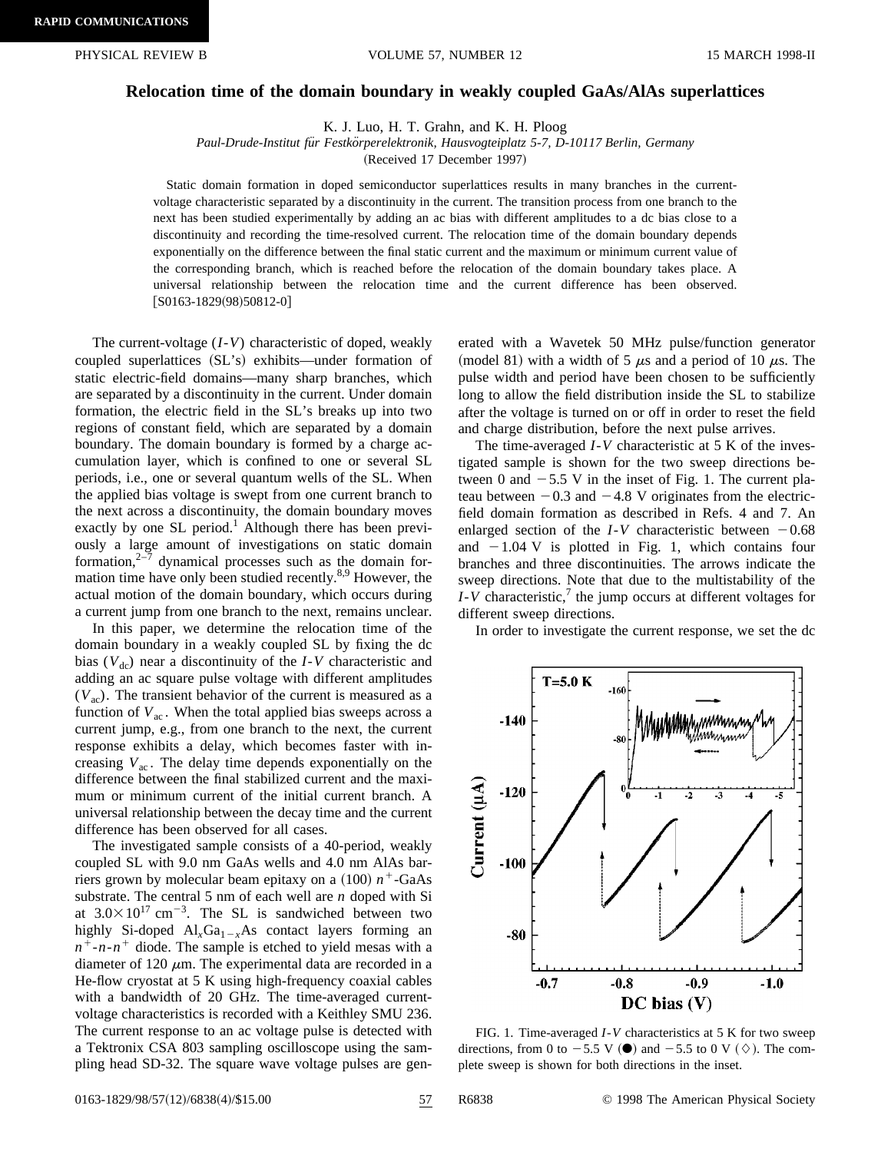## **Relocation time of the domain boundary in weakly coupled GaAs/AlAs superlattices**

K. J. Luo, H. T. Grahn, and K. H. Ploog

Paul-Drude-Institut für Festkörperelektronik, Hausvogteiplatz 5-7, D-10117 Berlin, Germany

(Received 17 December 1997)

Static domain formation in doped semiconductor superlattices results in many branches in the currentvoltage characteristic separated by a discontinuity in the current. The transition process from one branch to the next has been studied experimentally by adding an ac bias with different amplitudes to a dc bias close to a discontinuity and recording the time-resolved current. The relocation time of the domain boundary depends exponentially on the difference between the final static current and the maximum or minimum current value of the corresponding branch, which is reached before the relocation of the domain boundary takes place. A universal relationship between the relocation time and the current difference has been observed.  $[$ S0163-1829(98)50812-0]

The current-voltage (*I*-*V*) characteristic of doped, weakly coupled superlattices (SL's) exhibits—under formation of static electric-field domains—many sharp branches, which are separated by a discontinuity in the current. Under domain formation, the electric field in the SL's breaks up into two regions of constant field, which are separated by a domain boundary. The domain boundary is formed by a charge accumulation layer, which is confined to one or several SL periods, i.e., one or several quantum wells of the SL. When the applied bias voltage is swept from one current branch to the next across a discontinuity, the domain boundary moves exactly by one SL period.<sup>1</sup> Although there has been previously a large amount of investigations on static domain formation, $2\overline{7}$  dynamical processes such as the domain formation time have only been studied recently. $8.9$  However, the actual motion of the domain boundary, which occurs during a current jump from one branch to the next, remains unclear.

In this paper, we determine the relocation time of the domain boundary in a weakly coupled SL by fixing the dc bias  $(V<sub>dc</sub>)$  near a discontinuity of the *I*-*V* characteristic and adding an ac square pulse voltage with different amplitudes  $(V<sub>ac</sub>)$ . The transient behavior of the current is measured as a function of  $V_{ac}$ . When the total applied bias sweeps across a current jump, e.g., from one branch to the next, the current response exhibits a delay, which becomes faster with increasing  $V_{ac}$ . The delay time depends exponentially on the difference between the final stabilized current and the maximum or minimum current of the initial current branch. A universal relationship between the decay time and the current difference has been observed for all cases.

The investigated sample consists of a 40-period, weakly coupled SL with 9.0 nm GaAs wells and 4.0 nm AlAs barriers grown by molecular beam epitaxy on a  $(100)$   $n^+$ -GaAs substrate. The central 5 nm of each well are *n* doped with Si at  $3.0 \times 10^{17}$  cm<sup>-3</sup>. The SL is sandwiched between two highly Si-doped  $Al_xGa_{1-x}As$  contact layers forming an  $n^+$ -*n*- $n^+$  diode. The sample is etched to yield mesas with a diameter of 120  $\mu$ m. The experimental data are recorded in a He-flow cryostat at 5 K using high-frequency coaxial cables with a bandwidth of 20 GHz. The time-averaged currentvoltage characteristics is recorded with a Keithley SMU 236. The current response to an ac voltage pulse is detected with a Tektronix CSA 803 sampling oscilloscope using the sampling head SD-32. The square wave voltage pulses are generated with a Wavetek 50 MHz pulse/function generator (model 81) with a width of 5  $\mu$ s and a period of 10  $\mu$ s. The pulse width and period have been chosen to be sufficiently long to allow the field distribution inside the SL to stabilize after the voltage is turned on or off in order to reset the field and charge distribution, before the next pulse arrives.

The time-averaged *I*-*V* characteristic at 5 K of the investigated sample is shown for the two sweep directions between 0 and  $-5.5$  V in the inset of Fig. 1. The current plateau between  $-0.3$  and  $-4.8$  V originates from the electricfield domain formation as described in Refs. 4 and 7. An enlarged section of the  $I-V$  characteristic between  $-0.68$ and  $-1.04$  V is plotted in Fig. 1, which contains four branches and three discontinuities. The arrows indicate the sweep directions. Note that due to the multistability of the  $I-V$  characteristic,<sup>7</sup> the jump occurs at different voltages for different sweep directions.

In order to investigate the current response, we set the dc



FIG. 1. Time-averaged *I*-*V* characteristics at 5 K for two sweep directions, from 0 to  $-5.5$  V ( $\bullet$ ) and  $-5.5$  to 0 V ( $\Diamond$ ). The complete sweep is shown for both directions in the inset.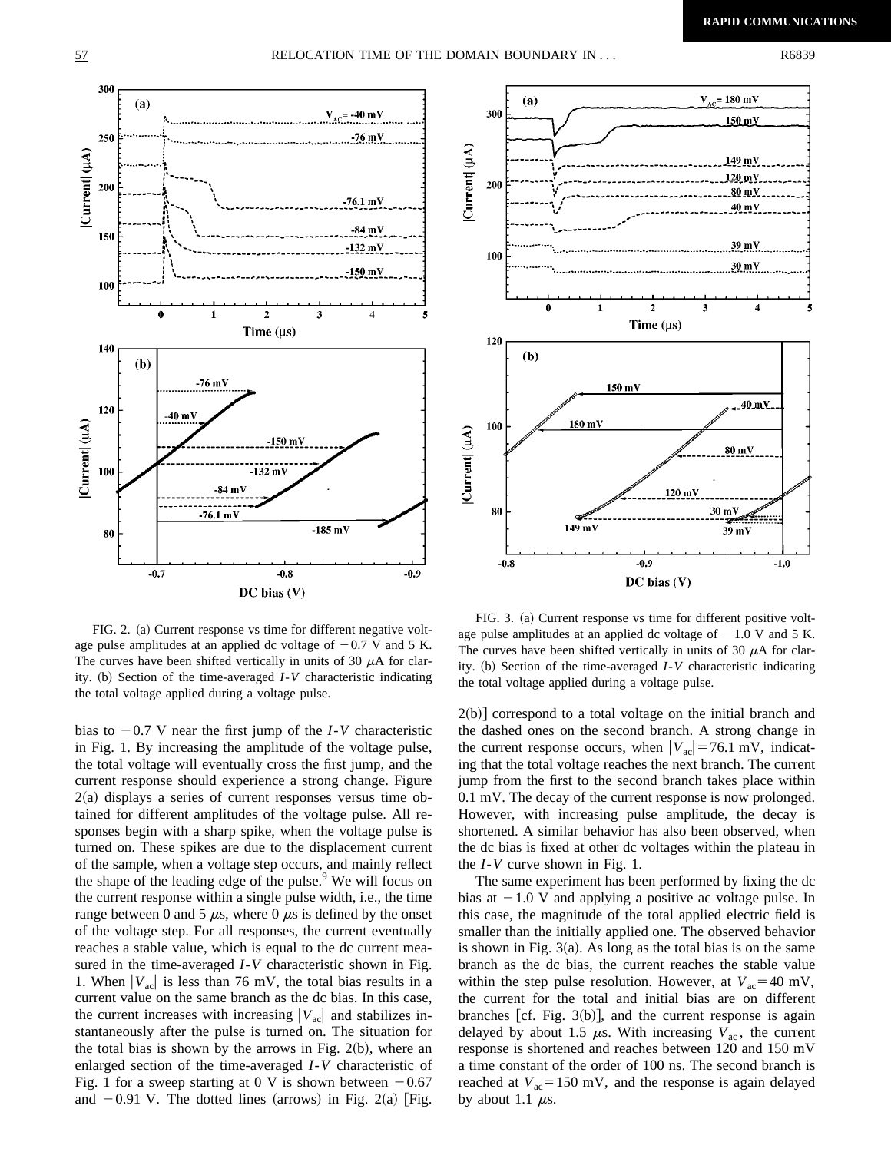

FIG. 2. (a) Current response vs time for different negative voltage pulse amplitudes at an applied dc voltage of  $-0.7$  V and 5 K. The curves have been shifted vertically in units of 30  $\mu$ A for clarity. (b) Section of the time-averaged *I*-*V* characteristic indicating the total voltage applied during a voltage pulse.

bias to  $-0.7$  V near the first jump of the *I*-*V* characteristic in Fig. 1. By increasing the amplitude of the voltage pulse, the total voltage will eventually cross the first jump, and the current response should experience a strong change. Figure  $2(a)$  displays a series of current responses versus time obtained for different amplitudes of the voltage pulse. All responses begin with a sharp spike, when the voltage pulse is turned on. These spikes are due to the displacement current of the sample, when a voltage step occurs, and mainly reflect the shape of the leading edge of the pulse.<sup>9</sup> We will focus on the current response within a single pulse width, i.e., the time range between 0 and 5  $\mu$ s, where 0  $\mu$ s is defined by the onset of the voltage step. For all responses, the current eventually reaches a stable value, which is equal to the dc current measured in the time-averaged *I*-*V* characteristic shown in Fig. 1. When  $|V_{ac}|$  is less than 76 mV, the total bias results in a current value on the same branch as the dc bias. In this case, the current increases with increasing  $|V_{ac}|$  and stabilizes instantaneously after the pulse is turned on. The situation for the total bias is shown by the arrows in Fig.  $2(b)$ , where an enlarged section of the time-averaged *I*-*V* characteristic of Fig. 1 for a sweep starting at 0 V is shown between  $-0.67$ and  $-0.91$  V. The dotted lines (arrows) in Fig. 2(a) [Fig.



FIG. 3. (a) Current response vs time for different positive voltage pulse amplitudes at an applied dc voltage of  $-1.0$  V and 5 K. The curves have been shifted vertically in units of 30  $\mu$ A for clarity. (b) Section of the time-averaged *I*-*V* characteristic indicating the total voltage applied during a voltage pulse.

 $2(b)$  correspond to a total voltage on the initial branch and the dashed ones on the second branch. A strong change in the current response occurs, when  $|V_{ac}| = 76.1$  mV, indicating that the total voltage reaches the next branch. The current jump from the first to the second branch takes place within 0.1 mV. The decay of the current response is now prolonged. However, with increasing pulse amplitude, the decay is shortened. A similar behavior has also been observed, when the dc bias is fixed at other dc voltages within the plateau in the *I*-*V* curve shown in Fig. 1.

The same experiment has been performed by fixing the dc bias at  $-1.0$  V and applying a positive ac voltage pulse. In this case, the magnitude of the total applied electric field is smaller than the initially applied one. The observed behavior is shown in Fig.  $3(a)$ . As long as the total bias is on the same branch as the dc bias, the current reaches the stable value within the step pulse resolution. However, at  $V_{ac}$ =40 mV, the current for the total and initial bias are on different branches [cf. Fig.  $3(b)$ ], and the current response is again delayed by about 1.5  $\mu$ s. With increasing  $V_{ac}$ , the current response is shortened and reaches between 120 and 150 mV a time constant of the order of 100 ns. The second branch is reached at  $V_{ac}$ =150 mV, and the response is again delayed by about 1.1  $\mu$ s.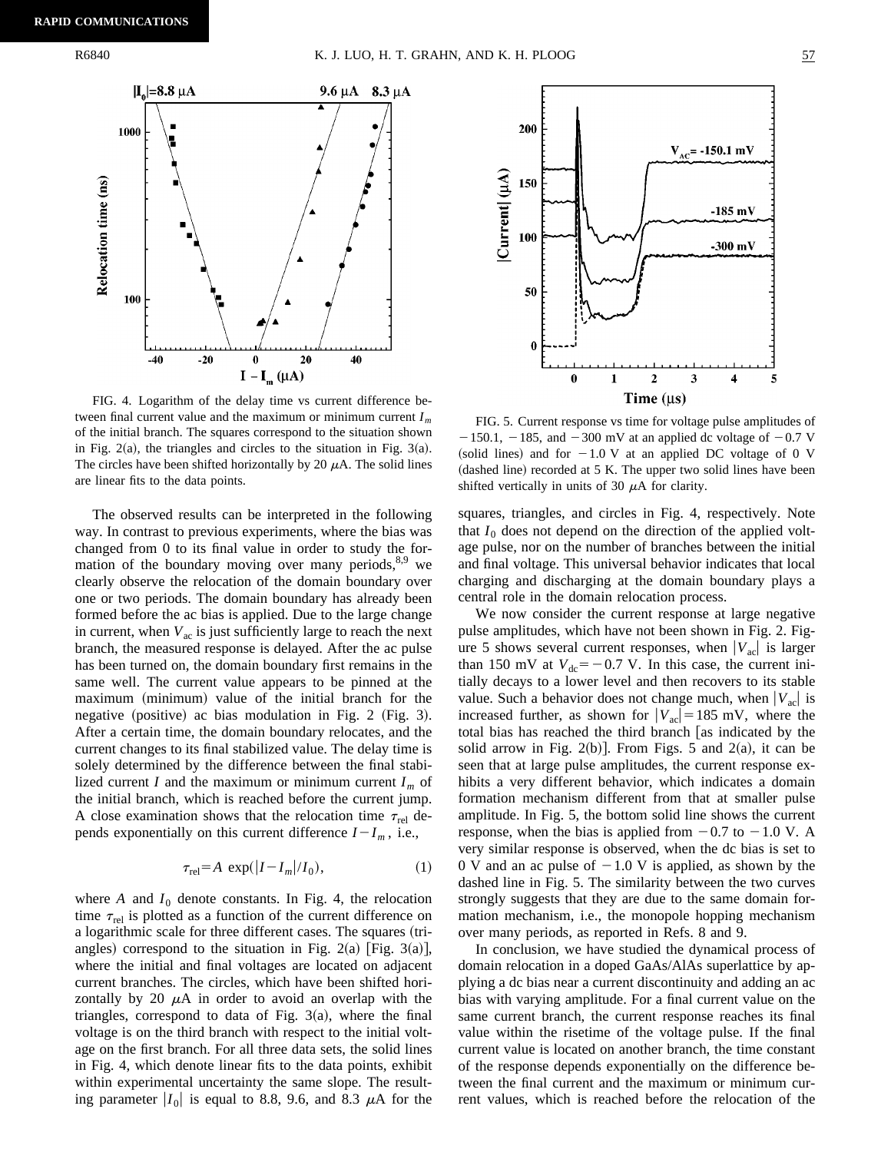

FIG. 4. Logarithm of the delay time vs current difference between final current value and the maximum or minimum current *Im* of the initial branch. The squares correspond to the situation shown in Fig.  $2(a)$ , the triangles and circles to the situation in Fig.  $3(a)$ . The circles have been shifted horizontally by 20  $\mu$ A. The solid lines are linear fits to the data points.

The observed results can be interpreted in the following way. In contrast to previous experiments, where the bias was changed from 0 to its final value in order to study the formation of the boundary moving over many periods, $8.9$  we clearly observe the relocation of the domain boundary over one or two periods. The domain boundary has already been formed before the ac bias is applied. Due to the large change in current, when  $V_{ac}$  is just sufficiently large to reach the next branch, the measured response is delayed. After the ac pulse has been turned on, the domain boundary first remains in the same well. The current value appears to be pinned at the maximum (minimum) value of the initial branch for the negative (positive) ac bias modulation in Fig. 2  $(Fig. 3)$ . After a certain time, the domain boundary relocates, and the current changes to its final stabilized value. The delay time is solely determined by the difference between the final stabilized current *I* and the maximum or minimum current  $I_m$  of the initial branch, which is reached before the current jump. A close examination shows that the relocation time  $\tau_{rel}$  depends exponentially on this current difference  $I-I_m$ , i.e.,

$$
\tau_{\text{rel}} = A \, \exp(|I - I_m| / I_0),\tag{1}
$$

where  $A$  and  $I_0$  denote constants. In Fig. 4, the relocation time  $\tau_{rel}$  is plotted as a function of the current difference on a logarithmic scale for three different cases. The squares (triangles) correspond to the situation in Fig. 2(a) [Fig. 3(a)], where the initial and final voltages are located on adjacent current branches. The circles, which have been shifted horizontally by 20  $\mu$ A in order to avoid an overlap with the triangles, correspond to data of Fig.  $3(a)$ , where the final voltage is on the third branch with respect to the initial voltage on the first branch. For all three data sets, the solid lines in Fig. 4, which denote linear fits to the data points, exhibit within experimental uncertainty the same slope. The resulting parameter  $|I_0|$  is equal to 8.8, 9.6, and 8.3  $\mu$ A for the



FIG. 5. Current response vs time for voltage pulse amplitudes of  $-150.1$ ,  $-185$ , and  $-300$  mV at an applied dc voltage of  $-0.7$  V (solid lines) and for  $-1.0$  V at an applied DC voltage of 0 V (dashed line) recorded at 5 K. The upper two solid lines have been shifted vertically in units of 30  $\mu$ A for clarity.

squares, triangles, and circles in Fig. 4, respectively. Note that  $I_0$  does not depend on the direction of the applied voltage pulse, nor on the number of branches between the initial and final voltage. This universal behavior indicates that local charging and discharging at the domain boundary plays a central role in the domain relocation process.

We now consider the current response at large negative pulse amplitudes, which have not been shown in Fig. 2. Figure 5 shows several current responses, when  $|V_{ac}|$  is larger than 150 mV at  $V_{dc}$ = -0.7 V. In this case, the current initially decays to a lower level and then recovers to its stable value. Such a behavior does not change much, when  $|V_{ac}|$  is increased further, as shown for  $|V_{ac}| = 185$  mV, where the total bias has reached the third branch [as indicated by the solid arrow in Fig.  $2(b)$ . From Figs. 5 and  $2(a)$ , it can be seen that at large pulse amplitudes, the current response exhibits a very different behavior, which indicates a domain formation mechanism different from that at smaller pulse amplitude. In Fig. 5, the bottom solid line shows the current response, when the bias is applied from  $-0.7$  to  $-1.0$  V. A very similar response is observed, when the dc bias is set to 0 V and an ac pulse of  $-1.0$  V is applied, as shown by the dashed line in Fig. 5. The similarity between the two curves strongly suggests that they are due to the same domain formation mechanism, i.e., the monopole hopping mechanism over many periods, as reported in Refs. 8 and 9.

In conclusion, we have studied the dynamical process of domain relocation in a doped GaAs/AlAs superlattice by applying a dc bias near a current discontinuity and adding an ac bias with varying amplitude. For a final current value on the same current branch, the current response reaches its final value within the risetime of the voltage pulse. If the final current value is located on another branch, the time constant of the response depends exponentially on the difference between the final current and the maximum or minimum current values, which is reached before the relocation of the